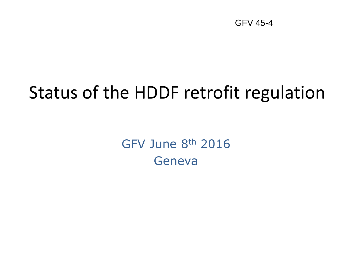GFV 45-4

## Status of the HDDF retrofit regulation

GFV June 8th 2016 Geneva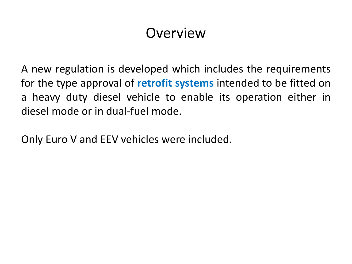#### Overview

A new regulation is developed which includes the requirements for the type approval of **retrofit systems** intended to be fitted on a heavy duty diesel vehicle to enable its operation either in diesel mode or in dual-fuel mode.

Only Euro V and EEV vehicles were included.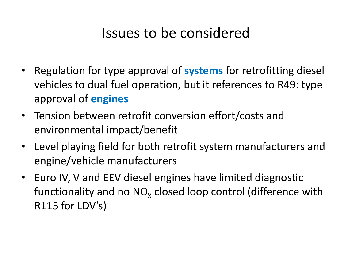#### Issues to be considered

- Regulation for type approval of **systems** for retrofitting diesel vehicles to dual fuel operation, but it references to R49: type approval of **engines**
- Tension between retrofit conversion effort/costs and environmental impact/benefit
- Level playing field for both retrofit system manufacturers and engine/vehicle manufacturers
- Euro IV, V and EEV diesel engines have limited diagnostic functionality and no NO<sub>x</sub> closed loop control (difference with R115 for LDV's)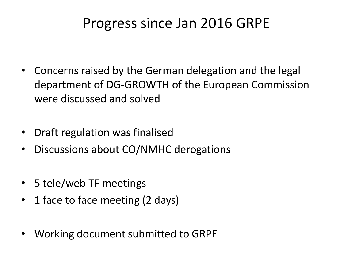#### Progress since Jan 2016 GRPE

- Concerns raised by the German delegation and the legal department of DG-GROWTH of the European Commission were discussed and solved
- Draft regulation was finalised
- Discussions about CO/NMHC derogations
- 5 tele/web TF meetings
- 1 face to face meeting (2 days)
- Working document submitted to GRPE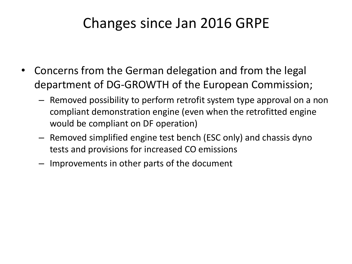#### Changes since Jan 2016 GRPE

- Concerns from the German delegation and from the legal department of DG-GROWTH of the European Commission;
	- Removed possibility to perform retrofit system type approval on a non compliant demonstration engine (even when the retrofitted engine would be compliant on DF operation)
	- Removed simplified engine test bench (ESC only) and chassis dyno tests and provisions for increased CO emissions
	- Improvements in other parts of the document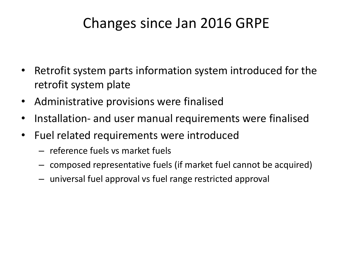#### Changes since Jan 2016 GRPE

- Retrofit system parts information system introduced for the retrofit system plate
- Administrative provisions were finalised
- Installation- and user manual requirements were finalised
- Fuel related requirements were introduced
	- reference fuels vs market fuels
	- composed representative fuels (if market fuel cannot be acquired)
	- universal fuel approval vs fuel range restricted approval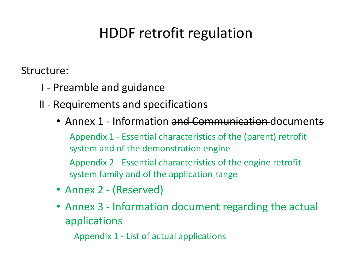#### HDDF retrofit regulation

Structure:

- I Preamble and guidance
- II Requirements and specifications
	- Annex 1 Information and Communication documents Appendix 1 - Essential characteristics of the (parent) retrofit system and of the demonstration engine Appendix 2 - Essential characteristics of the engine retrofit system family and of the application range
	- Annex 2 (Reserved)
	- Annex 3 Information document regarding the actual applications

Appendix 1 - List of actual applications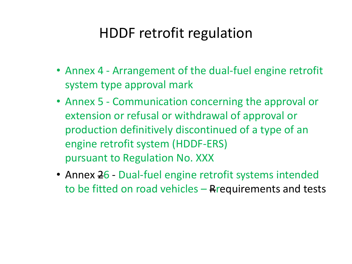#### HDDF retrofit regulation

- Annex 4 Arrangement of the dual-fuel engine retrofit system type approval mark
- Annex 5 Communication concerning the approval or extension or refusal or withdrawal of approval or production definitively discontinued of a type of an engine retrofit system (HDDF-ERS) pursuant to Regulation No. XXX
- Annex 26 Dual-fuel engine retrofit systems intended to be fitted on road vehicles  $-$  Rrequirements and tests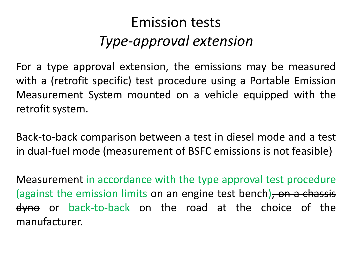#### Emission tests *Type-approval extension*

For a type approval extension, the emissions may be measured with a (retrofit specific) test procedure using a Portable Emission Measurement System mounted on a vehicle equipped with the retrofit system.

Back-to-back comparison between a test in diesel mode and a test in dual-fuel mode (measurement of BSFC emissions is not feasible)

Measurement in accordance with the type approval test procedure (against the emission limits on an engine test bench), on a chassis dyne or back-to-back on the road at the choice of the manufacturer.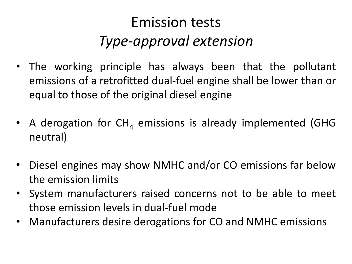#### Emission tests *Type-approval extension*

- The working principle has always been that the pollutant emissions of a retrofitted dual-fuel engine shall be lower than or equal to those of the original diesel engine
- A derogation for  $CH<sub>A</sub>$  emissions is already implemented (GHG neutral)
- Diesel engines may show NMHC and/or CO emissions far below the emission limits
- System manufacturers raised concerns not to be able to meet those emission levels in dual-fuel mode
- Manufacturers desire derogations for CO and NMHC emissions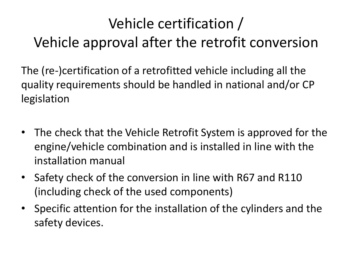### Vehicle certification / Vehicle approval after the retrofit conversion

The (re-)certification of a retrofitted vehicle including all the quality requirements should be handled in national and/or CP legislation

- The check that the Vehicle Retrofit System is approved for the engine/vehicle combination and is installed in line with the installation manual
- Safety check of the conversion in line with R67 and R110 (including check of the used components)
- Specific attention for the installation of the cylinders and the safety devices.